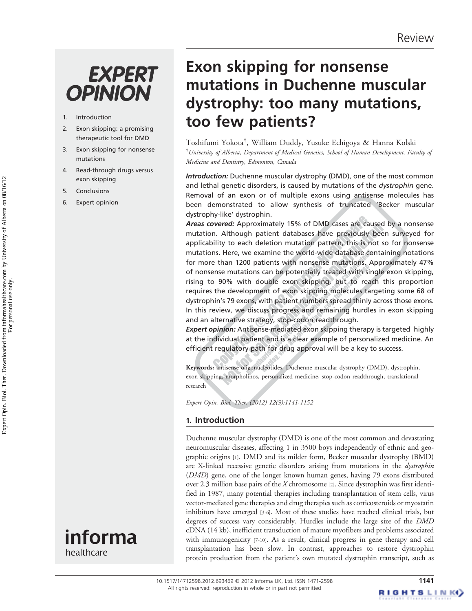# **EXPERT OPINION**

- 1. Introduction
- 2. Exon skipping: a promising therapeutic tool for DMD
- 3. Exon skipping for nonsense mutations
- 4. Read-through drugs versus exon skipping
- 5. Conclusions
- 6. Expert opinion



healthcare

## Exon skipping for nonsense mutations in Duchenne muscular dystrophy: too many mutations, too few patients?

Toshifumi Yokota† , William Duddy, Yusuke Echigoya & Hanna Kolski <sup>†</sup>University of Alberta, Department of Medical Genetics, School of Human Development, Faculty of Medicine and Dentistry, Edmonton, Canada

Introduction: Duchenne muscular dystrophy (DMD), one of the most common and lethal genetic disorders, is caused by mutations of the dystrophin gene. Removal of an exon or of multiple exons using antisense molecules has been demonstrated to allow synthesis of truncated 'Becker muscular dystrophy-like' dystrophin.

Areas covered: Approximately 15% of DMD cases are caused by a nonsense mutation. Although patient databases have previously been surveyed for applicability to each deletion mutation pattern, this is not so for nonsense mutations. Here, we examine the world-wide database containing notations for more than 1200 patients with nonsense mutations. Approximately 47% of nonsense mutations can be potentially treated with single exon skipping, rising to 90% with double exon skipping, but to reach this proportion requires the development of exon skipping molecules targeting some 68 of dystrophin's 79 exons, with patient numbers spread thinly across those exons. In this review, we discuss progress and remaining hurdles in exon skipping and an alternative strategy, stop-codon readthrough.

Expert opinion: Antisense-mediated exon skipping therapy is targeted highly at the individual patient and is a clear example of personalized medicine. An efficient regulatory path for drug approval will be a key to success.

Keywords: antisense oligonucleotides, Duchenne muscular dystrophy (DMD), dystrophin, exon skipping, morpholinos, personalized medicine, stop-codon readthrough, translational research

Expert Opin. Biol. Ther. (2012) 12(9):1141-1152

## 1. Introduction

Duchenne muscular dystrophy (DMD) is one of the most common and devastating neuromuscular diseases, affecting 1 in 3500 boys independently of ethnic and geographic origins [1]. DMD and its milder form, Becker muscular dystrophy (BMD) are X-linked recessive genetic disorders arising from mutations in the *dystrophin* (DMD) gene, one of the longer known human genes, having 79 exons distributed over 2.3 million base pairs of the X chromosome [2]. Since dystrophin was first identified in 1987, many potential therapies including transplantation of stem cells, virus vector-mediated gene therapies and drug therapies such as corticosteroids or myostatin inhibitors have emerged [3-6]. Most of these studies have reached clinical trials, but degrees of success vary considerably. Hurdles include the large size of the DMD cDNA (14 kb), inefficient transduction of mature myofibers and problems associated with immunogenicity [7-10]. As a result, clinical progress in gene therapy and cell transplantation has been slow. In contrast, approaches to restore dystrophin protein production from the patient's own mutated dystrophin transcript, such as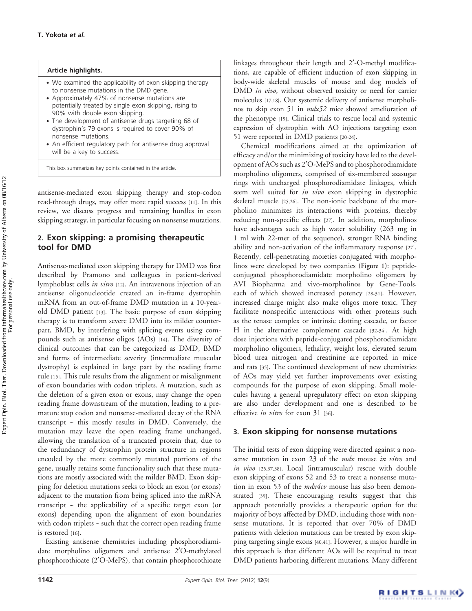#### Article highlights.

- . We examined the applicability of exon skipping therapy to nonsense mutations in the DMD gene.
- . Approximately 47% of nonsense mutations are potentially treated by single exon skipping, rising to 90% with double exon skipping.
- . The development of antisense drugs targeting 68 of dystrophin's 79 exons is required to cover 90% of nonsense mutations.
- . An efficient regulatory path for antisense drug approval will be a key to success.

This box summarizes key points contained in the article.

antisense-mediated exon skipping therapy and stop-codon read-through drugs, may offer more rapid success [11]. In this review, we discuss progress and remaining hurdles in exon skipping strategy, in particular focusing on nonsense mutations.

#### 2. Exon skipping: a promising therapeutic tool for DMD

Antisense-mediated exon skipping therapy for DMD was first described by Pramono and colleagues in patient-derived lymphoblast cells in vitro [12]. An intravenous injection of an antisense oligonucleotide created an in-frame dystrophin mRNA from an out-of-frame DMD mutation in a 10-yearold DMD patient [13]. The basic purpose of exon skipping therapy is to transform severe DMD into its milder counterpart, BMD, by interfering with splicing events using compounds such as antisense oligos (AOs) [14]. The diversity of clinical outcomes that can be categorized as DMD, BMD and forms of intermediate severity (intermediate muscular dystrophy) is explained in large part by the reading frame rule [15]. This rule results from the alignment or misalignment of exon boundaries with codon triplets. A mutation, such as the deletion of a given exon or exons, may change the open reading frame downstream of the mutation, leading to a premature stop codon and nonsense-mediated decay of the RNA transcript - this mostly results in DMD. Conversely, the mutation may leave the open reading frame unchanged, allowing the translation of a truncated protein that, due to the redundancy of dystrophin protein structure in regions encoded by the more commonly mutated portions of the gene, usually retains some functionality such that these mutations are mostly associated with the milder BMD. Exon skipping for deletion mutations seeks to block an exon (or exons) adjacent to the mutation from being spliced into the mRNA transcript - the applicability of a specific target exon (or exons) depending upon the alignment of exon boundaries with codon triplets - such that the correct open reading frame is restored [16].

Existing antisense chemistries including phosphorodiamidate morpholino oligomers and antisense 2¢O-methylated phosphorothioate (2¢O-MePS), that contain phosphorothioate linkages throughout their length and 2'-O-methyl modifications, are capable of efficient induction of exon skipping in body-wide skeletal muscles of mouse and dog models of DMD in vivo, without observed toxicity or need for carrier molecules [17,18]. Our systemic delivery of antisense morpholinos to skip exon 51 in mdx52 mice showed amelioration of the phenotype [19]. Clinical trials to rescue local and systemic expression of dystrophin with AO injections targeting exon 51 were reported in DMD patients [20-24].

Chemical modifications aimed at the optimization of efficacy and/or the minimizing of toxicity have led to the development of AOs such as 2¢O-MePS and to phosphorodiamidate morpholino oligomers, comprised of six-membered azasugar rings with uncharged phosphorodiamidate linkages, which seem well suited for *in vivo* exon skipping in dystrophic skeletal muscle [25,26]. The non-ionic backbone of the morpholino minimizes its interactions with proteins, thereby reducing non-specific effects [27]. In addition, morpholinos have advantages such as high water solubility (263 mg in 1 ml with 22-mer of the sequence), stronger RNA binding ability and non-activation of the inflammatory response [27]. Recently, cell-penetrating moieties conjugated with morpholinos were developed by two companies (Figure 1): peptideconjugated phosphorodiamidate morpholino oligomers by AVI Biopharma and vivo-morpholinos by Gene-Tools, each of which showed increased potency [28-31]. However, increased charge might also make oligos more toxic. They facilitate nonspecific interactions with other proteins such as the tenase complex or intrinsic clotting cascade, or factor H in the alternative complement cascade [32-34]. At high dose injections with peptide-conjugated phosphorodiamidate morpholino oligomers, lethality, weight loss, elevated serum blood urea nitrogen and creatinine are reported in mice and rats [35]. The continued development of new chemistries of AOs may yield yet further improvements over existing compounds for the purpose of exon skipping. Small molecules having a general upregulatory effect on exon skipping are also under development and one is described to be effective *in vitro* for exon 31 [36].

#### 3. Exon skipping for nonsense mutations

The initial tests of exon skipping were directed against a nonsense mutation in exon 23 of the mdx mouse in vitro and in vivo [25,37,38]. Local (intramuscular) rescue with double exon skipping of exons 52 and 53 to treat a nonsense mutation in exon 53 of the  $mdx4cv$  mouse has also been demonstrated [39]. These encouraging results suggest that this approach potentially provides a therapeutic option for the majority of boys affected by DMD, including those with nonsense mutations. It is reported that over 70% of DMD patients with deletion mutations can be treated by exon skipping targeting single exons [40,41]. However, a major hurdle in this approach is that different AOs will be required to treat DMD patients harboring different mutations. Many different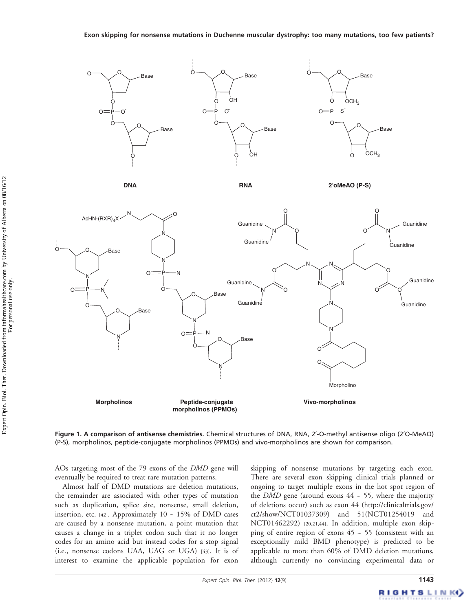

**DNA**

**RNA 2**′**oMeAO (P-S)**



Figure 1. A comparison of antisense chemistries. Chemical structures of DNA, RNA, 2'-O-methyl antisense oligo (2'O-MeAO) (P-S), morpholinos, peptide-conjugate morpholinos (PPMOs) and vivo-morpholinos are shown for comparison.

AOs targeting most of the 79 exons of the DMD gene will eventually be required to treat rare mutation patterns.

Almost half of DMD mutations are deletion mutations, the remainder are associated with other types of mutation such as duplication, splice site, nonsense, small deletion, insertion, etc. [42]. Approximately  $10 - 15\%$  of DMD cases are caused by a nonsense mutation, a point mutation that causes a change in a triplet codon such that it no longer codes for an amino acid but instead codes for a stop signal (i.e., nonsense codons UAA, UAG or UGA) [43]. It is of interest to examine the applicable population for exon skipping of nonsense mutations by targeting each exon. There are several exon skipping clinical trials planned or ongoing to target multiple exons in the hot spot region of the *DMD* gene (around exons  $44 - 55$ , where the majority of deletions occur) such as exon 44 ([http://clinicaltrials.gov/](http://clinicaltrials.gov/ct2/show/NCT01037309) [ct2/show/NCT01037309\)](http://clinicaltrials.gov/ct2/show/NCT01037309) and 51(NCT01254019 and NCT01462292) [20,21,44]. In addition, multiple exon skipping of entire region of exons  $45 - 55$  (consistent with an exceptionally mild BMD phenotype) is predicted to be applicable to more than 60% of DMD deletion mutations, although currently no convincing experimental data or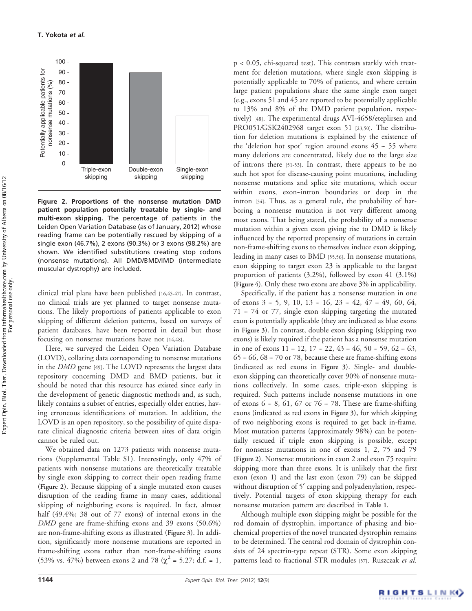

Figure 2. Proportions of the nonsense mutation DMD patient population potentially treatable by single- and multi-exon skipping. The percentage of patients in the Leiden Open Variation Database (as of January, 2012) whose reading frame can be potentially rescued by skipping of a single exon (46.7%), 2 exons (90.3%) or 3 exons (98.2%) are shown. We identified substitutions creating stop codons (nonsense mutations). All DMD/BMD/IMD (intermediate muscular dystrophy) are included.

clinical trial plans have been published [16,45-47]. In contrast, no clinical trials are yet planned to target nonsense mutations. The likely proportions of patients applicable to exon skipping of different deletion patterns, based on surveys of patient databases, have been reported in detail but those focusing on nonsense mutations have not [14,48].

Here, we surveyed the Leiden Open Variation Database (LOVD), collating data corresponding to nonsense mutations in the DMD gene [49]. The LOVD represents the largest data repository concerning DMD and BMD patients, but it should be noted that this resource has existed since early in the development of genetic diagnostic methods and, as such, likely contains a subset of entries, especially older entries, having erroneous identifications of mutation. In addition, the LOVD is an open repository, so the possibility of quite disparate clinical diagnostic criteria between sites of data origin cannot be ruled out.

We obtained data on 1273 patients with nonsense mutations (Supplemental Table S1). Interestingly, only 47% of patients with nonsense mutations are theoretically treatable by single exon skipping to correct their open reading frame (Figure 2). Because skipping of a single mutated exon causes disruption of the reading frame in many cases, additional skipping of neighboring exons is required. In fact, almost half (49.4%; 38 out of 77 exons) of internal exons in the DMD gene are frame-shifting exons and 39 exons (50.6%) are non-frame-shifting exons as illustrated (Figure 3). In addition, significantly more nonsense mutations are reported in frame-shifting exons rather than non-frame-shifting exons (53% vs. 47%) between exons 2 and 78 ( $\chi^2$  = 5.27; d.f. = 1,

p < 0.05, chi-squared test). This contrasts starkly with treatment for deletion mutations, where single exon skipping is potentially applicable to 70% of patients, and where certain large patient populations share the same single exon target (e.g., exons 51 and 45 are reported to be potentially applicable to 13% and 8% of the DMD patient population, respectively) [48]. The experimental drugs AVI-4658/eteplirsen and PRO051/GSK2402968 target exon 51 [23,50]. The distribution for deletion mutations is explained by the existence of the 'deletion hot spot' region around exons  $45 - 55$  where many deletions are concentrated, likely due to the large size of introns there [51-53]. In contrast, there appears to be no such hot spot for disease-causing point mutations, including nonsense mutations and splice site mutations, which occur within exons, exon-intron boundaries or deep in the intron [54]. Thus, as a general rule, the probability of harboring a nonsense mutation is not very different among most exons. That being stated, the probability of a nonsense mutation within a given exon giving rise to DMD is likely influenced by the reported propensity of mutations in certain non-frame-shifting exons to themselves induce exon skipping, leading in many cases to BMD [55,56]. In nonsense mutations, exon skipping to target exon 23 is applicable to the largest proportion of patients (3.2%), followed by exon 41 (3.1%) (Figure 4). Only these two exons are above 3% in applicability.

Specifically, if the patient has a nonsense mutation in one of exons 3 - 5, 9, 10, 13 - 16, 23 - 42, 47 - 49, 60, 64, 71 -- 74 or 77, single exon skipping targeting the mutated exon is potentially applicable (they are indicated as blue exons in Figure 3). In contrast, double exon skipping (skipping two exons) is likely required if the patient has a nonsense mutation in one of exons  $11 - 12$ ,  $17 - 22$ ,  $43 - 46$ ,  $50 - 59$ ,  $62 - 63$ ,  $65 - 66$ ,  $68 - 70$  or 78, because these are frame-shifting exons (indicated as red exons in Figure 3). Single- and doubleexon skipping can theoretically cover 90% of nonsense mutations collectively. In some cases, triple-exon skipping is required. Such patterns include nonsense mutations in one of exons  $6 - 8$ ,  $61$ ,  $67$  or  $76 - 78$ . These are frame-shifting exons (indicated as red exons in Figure 3), for which skipping of two neighboring exons is required to get back in-frame. Most mutation patterns (approximately 98%) can be potentially rescued if triple exon skipping is possible, except for nonsense mutations in one of exons 1, 2, 75 and 79 (Figure 2). Nonsense mutations in exon 2 and exon 75 require skipping more than three exons. It is unlikely that the first exon (exon 1) and the last exon (exon 79) can be skipped without disruption of 5' capping and polyadenylation, respectively. Potential targets of exon skipping therapy for each nonsense mutation pattern are described in Table 1.

Although multiple exon skipping might be possible for the rod domain of dystrophin, importance of phasing and biochemical properties of the novel truncated dystrophin remains to be determined. The central rod domain of dystrophin consists of 24 spectrin-type repeat (STR). Some exon skipping patterns lead to fractional STR modules [57]. Ruszczak et al.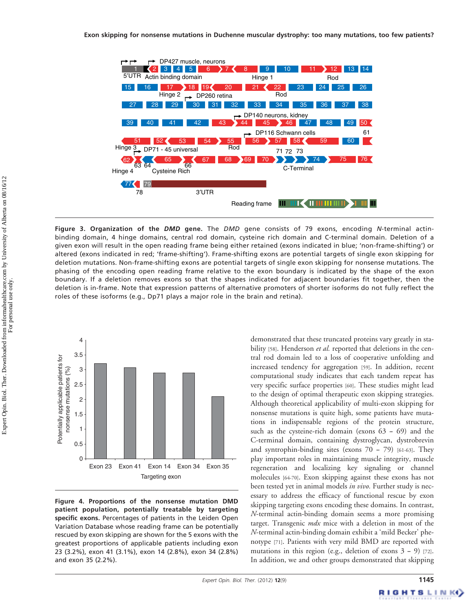

Figure 3. Organization of the DMD gene. The DMD gene consists of 79 exons, encoding N-terminal actinbinding domain, 4 hinge domains, central rod domain, cysteine rich domain and C-terminal domain. Deletion of a given exon will result in the open reading frame being either retained (exons indicated in blue; 'non-frame-shifting') or altered (exons indicated in red; 'frame-shifting'). Frame-shifting exons are potential targets of single exon skipping for deletion mutations. Non-frame-shifting exons are potential targets of single exon skipping for nonsense mutations. The phasing of the encoding open reading frame relative to the exon boundary is indicated by the shape of the exon boundary. If a deletion removes exons so that the shapes indicated for adjacent boundaries fit together, then the deletion is in-frame. Note that expression patterns of alternative promoters of shorter isoforms do not fully reflect the roles of these isoforms (e.g., Dp71 plays a major role in the brain and retina).



Figure 4. Proportions of the nonsense mutation DMD patient population, potentially treatable by targeting specific exons. Percentages of patients in the Leiden Open Variation Database whose reading frame can be potentially rescued by exon skipping are shown for the 5 exons with the greatest proportions of applicable patients including exon 23 (3.2%), exon 41 (3.1%), exon 14 (2.8%), exon 34 (2.8%) and exon 35 (2.2%).

demonstrated that these truncated proteins vary greatly in stability [58]. Henderson et al. reported that deletions in the central rod domain led to a loss of cooperative unfolding and increased tendency for aggregation [59]. In addition, recent computational study indicates that each tandem repeat has very specific surface properties [60]. These studies might lead to the design of optimal therapeutic exon skipping strategies. Although theoretical applicability of multi-exon skipping for nonsense mutations is quite high, some patients have mutations in indispensable regions of the protein structure, such as the cysteine-rich domain (exons  $63 - 69$ ) and the C-terminal domain, containing dystroglycan, dystrobrevin and syntrophin-binding sites (exons  $70 - 79$ ) [61-63]. They play important roles in maintaining muscle integrity, muscle regeneration and localizing key signaling or channel molecules [64-70]. Exon skipping against these exons has not been tested yet in animal models *in vivo*. Further study is necessary to address the efficacy of functional rescue by exon skipping targeting exons encoding these domains. In contrast, N-terminal actin-binding domain seems a more promising target. Transgenic *mdx* mice with a deletion in most of the N-terminal actin-binding domain exhibit a 'mild Becker' phenotype [71]. Patients with very mild BMD are reported with mutations in this region (e.g., deletion of exons  $3 - 9$ ) [72]. In addition, we and other groups demonstrated that skipping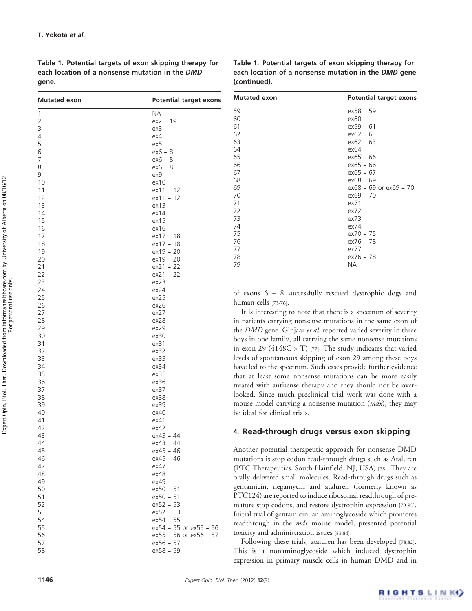Table 1. Potential targets of exon skipping therapy for each location of a nonsense mutation in the DMD gene.

| Table 1. Potential targets of exon skipping therapy for |  |
|---------------------------------------------------------|--|
| each location of a nonsense mutation in the DMD gene    |  |
| (continued).                                            |  |

| <b>Mutated exon</b> | <b>Potential target exons</b>       |
|---------------------|-------------------------------------|
| 1                   | ΝA                                  |
| 2                   | $ex2 - 19$                          |
| 3                   | ехЗ                                 |
| 4                   | ex4                                 |
| 5                   | ex5                                 |
| 6                   | $ex6 - 8$                           |
| 7                   | $ex6 - 8$                           |
| 8                   | $ex6 - 8$                           |
| 9                   | ex9                                 |
| 10                  | ex10                                |
| 11                  | ex11 - 12                           |
| 12                  | $ex11 - 12$<br>ex13                 |
| 13<br>14            | ex14                                |
| 15                  | ex15                                |
| 16                  | ex16                                |
| 17                  | ex17 - 18                           |
| 18                  | $ex17 - 18$                         |
| 19                  | $ex19 - 20$                         |
| 20                  | $ex19 - 20$                         |
| 21                  | $ex21 - 22$                         |
| 22                  | $ex21 - 22$                         |
| 23                  | ex23                                |
| 24                  | ex24                                |
| 25                  | ex25                                |
| 26                  | ex26                                |
| 27                  | ex27                                |
| 28                  | ex28                                |
| 29                  | ex29                                |
| 30                  | ex30                                |
| 31                  | ex31                                |
| 32                  | ex32                                |
| 33                  | ex33                                |
| 34                  | ex34                                |
| 35                  | ex35                                |
| 36                  | ex36                                |
| 37                  | ex37                                |
| 38                  | ex38                                |
| 39                  | ex39                                |
| 40                  | ex40                                |
| 41                  | ex41                                |
| 42                  | ex42                                |
| 43                  | ex43 - 44                           |
| 44                  | ex43 - 44                           |
| 45                  | ex45 - 46                           |
| 46                  | $ex45 - 46$                         |
| 47                  | ex47                                |
| 48                  | ex48                                |
| 49                  | ex49                                |
| 50                  | ex50 - 51                           |
| 51                  | ex50 - 51                           |
| 52                  | $ex52 - 53$<br>$ex52 - 53$          |
| 53<br>54            | $ex54 - 55$                         |
| 55                  | ex54 - 55 or ex55 - 56              |
|                     |                                     |
| 56<br>57            | ex55 - 56 or ex56 - 57<br>ex56 - 57 |
| 58                  | $ex58 - 59$                         |
|                     |                                     |

| <b>Mutated exon</b> |                            |  | <b>Potential target exons</b> |  |
|---------------------|----------------------------|--|-------------------------------|--|
| 59                  | ex58 - 59                  |  |                               |  |
| 60                  | ex60                       |  |                               |  |
| 61                  | $ex59 - 61$                |  |                               |  |
| 62                  | $ex62 - 63$                |  |                               |  |
| 63                  | $ex62 - 63$                |  |                               |  |
| 64                  | ex64                       |  |                               |  |
| 65                  | $ex65 - 66$                |  |                               |  |
| 66                  | $ex65 - 66$                |  |                               |  |
| 67                  | $ex65 - 67$                |  |                               |  |
| 68                  | $ex68 - 69$                |  |                               |  |
| 69                  | $ex68 - 69$ or $ex69 - 70$ |  |                               |  |
| 70                  | $ex69 - 70$                |  |                               |  |
| 71                  | ex71                       |  |                               |  |
| 72                  | ex72                       |  |                               |  |
| 73                  | ex73                       |  |                               |  |
| 74                  | ex74                       |  |                               |  |
| 75                  | $ex70 - 75$                |  |                               |  |
| 76                  | ex76 - 78                  |  |                               |  |
| 77                  | ex77                       |  |                               |  |
| 78                  | $ex76 - 78$                |  |                               |  |
| 79                  | NА                         |  |                               |  |

of exons 6 -- 8 successfully rescued dystrophic dogs and human cells [73-76].

It is interesting to note that there is a spectrum of severity in patients carrying nonsense mutations in the same exon of the DMD gene. Ginjaar et al. reported varied severity in three boys in one family, all carrying the same nonsense mutations in exon 29 (4148C > T) [77]. The study indicates that varied levels of spontaneous skipping of exon 29 among these boys have led to the spectrum. Such cases provide further evidence that at least some nonsense mutations can be more easily treated with antisense therapy and they should not be overlooked. Since much preclinical trial work was done with a mouse model carrying a nonsense mutation (*mdx*), they may be ideal for clinical trials.

#### 4. Read-through drugs versus exon skipping

Another potential therapeutic approach for nonsense DMD mutations is stop codon read-through drugs such as Ataluren (PTC Therapeutics, South Plainfield, NJ, USA) [78]. They are orally delivered small molecules. Read-through drugs such as gentamicin, negamycin and ataluren (formerly known as PTC124) are reported to induce ribosomal readthrough of premature stop codons, and restore dystrophin expression [79-82]. Initial trial of gentamicin, an aminoglycoside which promotes readthrough in the mdx mouse model, presented potential toxicity and administration issues [83,84].

Following these trials, ataluren has been developed [78,82]. This is a nonaminoglycoside which induced dystrophin expression in primary muscle cells in human DMD and in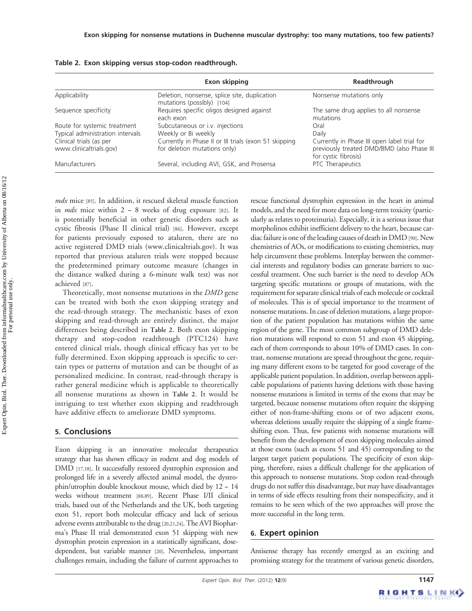|                                                                  | Exon skipping                                                                         | Readthrough                                                                                                       |
|------------------------------------------------------------------|---------------------------------------------------------------------------------------|-------------------------------------------------------------------------------------------------------------------|
| Applicability                                                    | Deletion, nonsense, splice site, duplication<br>mutations (possibly) [104]            | Nonsense mutations only                                                                                           |
| Sequence specificity                                             | Requires specific oligos designed against<br>each exon                                | The same drug applies to all nonsense<br>mutations                                                                |
| Route for systemic treatment<br>Typical administration intervals | Subcutaneous or i.v. injections<br>Weekly or Bi weekly                                | Oral<br>Daily                                                                                                     |
| Clinical trials (as per<br>www.clinicaltrials.gov)               | Currently in Phase II or III trials (exon 51 skipping<br>for deletion mutations only) | Currently in Phase III open label trial for<br>previously treated DMD/BMD (also Phase III<br>for cystic fibrosis) |
| Manufacturers                                                    | Several, including AVI, GSK, and Prosensa                                             | PTC Therapeutics                                                                                                  |

|  |  | Table 2.  Exon skipping versus stop-codon readthrough. |  |
|--|--|--------------------------------------------------------|--|
|--|--|--------------------------------------------------------|--|

mdx mice [85]. In addition, it rescued skeletal muscle function in *mdx* mice within  $2 - 8$  weeks of drug exposure [82]. It is potentially beneficial in other genetic disorders such as cystic fibrosis (Phase II clinical trial) [86]. However, except for patients previously exposed to ataluren, there are no active registered DMD trials ([www.clinicaltrials.gov\)](http://www.clinicaltrials.gov). It was reported that previous ataluren trials were stopped because the predetermined primary outcome measure (changes in the distance walked during a 6-minute walk test) was not achieved [87].

Theoretically, most nonsense mutations in the DMD gene can be treated with both the exon skipping strategy and the read-through strategy. The mechanistic bases of exon skipping and read-through are entirely distinct, the major differences being described in Table 2. Both exon skipping therapy and stop-codon readthrough (PTC124) have entered clinical trials, though clinical efficacy has yet to be fully determined. Exon skipping approach is specific to certain types or patterns of mutation and can be thought of as personalized medicine. In contrast, read-through therapy is rather general medicine which is applicable to theoretically all nonsense mutations as shown in Table 2. It would be intriguing to test whether exon skipping and readthrough have additive effects to ameliorate DMD symptoms.

#### 5. Conclusions

Exon skipping is an innovative molecular therapeutics strategy that has shown efficacy in rodent and dog models of DMD [17,18]. It successfully restored dystrophin expression and prolonged life in a severely affected animal model, the dystrophin/utrophin double knockout mouse, which died by  $12 - 14$ weeks without treatment [88,89]. Recent Phase I/II clinical trials, based out of the Netherlands and the UK, both targeting exon 51, report both molecular efficacy and lack of serious adverse events attributable to the drug [20,21,24]. The AVI Biopharma's Phase II trial demonstrated exon 51 skipping with new dystrophin protein expression in a statistically significant, dosedependent, but variable manner [20]. Nevertheless, important challenges remain, including the failure of current approaches to

rescue functional dystrophin expression in the heart in animal models, and the need for more data on long-term toxicity (particularly as relates to proteinuria). Especially, it is a serious issue that morpholinos exhibit inefficient delivery to the heart, because cardiac failure is one of the leading causes of death in DMD[90]. New chemistries of AOs, or modifications to existing chemistries, may help circumvent these problems. Interplay between the commercial interests and regulatory bodies can generate barriers to successful treatment. One such barrier is the need to develop AOs targeting specific mutations or groups of mutations, with the requirement for separate clinical trials of each molecule or cocktail of molecules. This is of special importance to the treatment of nonsense mutations. In case of deletion mutations, a large proportion of the patient population has mutations within the same region of the gene. The most common subgroup of DMD deletion mutations will respond to exon 51 and exon 45 skipping, each of them corresponds to about 10% of DMD cases. In contrast, nonsense mutations are spread throughout the gene, requiring many different exons to be targeted for good coverage of the applicable patient population. In addition, overlap between applicable populations of patients having deletions with those having nonsense mutations is limited in terms of the exons that may be targeted, because nonsense mutations often require the skipping either of non-frame-shifting exons or of two adjacent exons, whereas deletions usually require the skipping of a single frameshifting exon. Thus, few patients with nonsense mutations will benefit from the development of exon skipping molecules aimed at those exons (such as exons 51 and 45) corresponding to the largest target patient populations. The specificity of exon skipping, therefore, raises a difficult challenge for the application of this approach to nonsense mutations. Stop codon read-through drugs do not suffer this disadvantage, but may have disadvantages in terms of side effects resulting from their nonspecificity, and it remains to be seen which of the two approaches will prove the more successful in the long term.

#### 6. Expert opinion

Antisense therapy has recently emerged as an exciting and promising strategy for the treatment of various genetic disorders,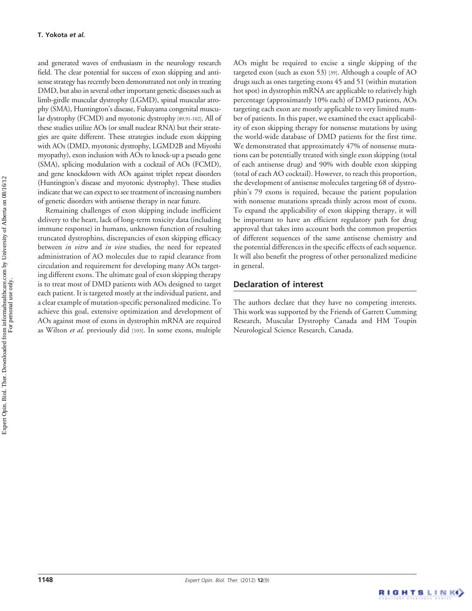and generated waves of enthusiasm in the neurology research field. The clear potential for success of exon skipping and antisense strategy has recently been demonstrated not only in treating DMD, but also in several other important genetic diseases such as limb-girdle muscular dystrophy (LGMD), spinal muscular atrophy (SMA), Huntington's disease, Fukuyama congenital muscular dystrophy (FCMD) and myotonic dystrophy [89,91-102]. All of these studies utilize AOs (or small nuclear RNA) but their strategies are quite different. These strategies include exon skipping with AOs (DMD, myotonic dystrophy, LGMD2B and Miyoshi myopathy), exon inclusion with AOs to knock-up a pseudo gene (SMA), splicing modulation with a cocktail of AOs (FCMD), and gene knockdown with AOs against triplet repeat disorders (Huntington's disease and myotonic dystrophy). These studies indicate that we can expect to see treatment of increasing numbers of genetic disorders with antisense therapy in near future.

Remaining challenges of exon skipping include inefficient delivery to the heart, lack of long-term toxicity data (including immune response) in humans, unknown function of resulting truncated dystrophins, discrepancies of exon skipping efficacy between in vitro and in vivo studies, the need for repeated administration of AO molecules due to rapid clearance from circulation and requirement for developing many AOs targeting different exons. The ultimate goal of exon skipping therapy is to treat most of DMD patients with AOs designed to target each patient. It is targeted mostly at the individual patient, and a clear example of mutation-specific personalized medicine. To achieve this goal, extensive optimization and development of AOs against most of exons in dystrophin mRNA are required as Wilton et al. previously did [103]. In some exons, multiple

AOs might be required to excise a single skipping of the targeted exon (such as exon 53) [39]. Although a couple of AO drugs such as ones targeting exons 45 and 51 (within mutation hot spot) in dystrophin mRNA are applicable to relatively high percentage (approximately 10% each) of DMD patients, AOs targeting each exon are mostly applicable to very limited number of patients. In this paper, we examined the exact applicability of exon skipping therapy for nonsense mutations by using the world-wide database of DMD patients for the first time. We demonstrated that approximately 47% of nonsense mutations can be potentially treated with single exon skipping (total of each antisense drug) and 90% with double exon skipping (total of each AO cocktail). However, to reach this proportion, the development of antisense molecules targeting 68 of dystrophin's 79 exons is required, because the patient population with nonsense mutations spreads thinly across most of exons. To expand the applicability of exon skipping therapy, it will be important to have an efficient regulatory path for drug approval that takes into account both the common properties of different sequences of the same antisense chemistry and the potential differences in the specific effects of each sequence. It will also benefit the progress of other personalized medicine in general.

#### Declaration of interest

The authors declare that they have no competing interests. This work was supported by the Friends of Garrett Cumming Research, Muscular Dystrophy Canada and HM Toupin Neurological Science Research, Canada.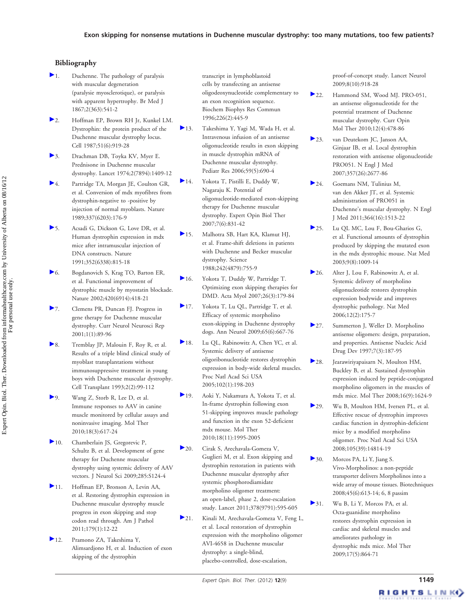#### Bibliography

- Duchenne. The pathology of paralysis with muscular degeneration (paralysie myosclerotique), or paralysis with apparent hypertrophy. Br Med J 1867;2(363):541-2
- 2. Hoffman EP, Brown RH Jr, Kunkel LM. Dystrophin: the protein product of the Duchenne muscular dystrophy locus. Cell 1987;51(6):919-28
- 3. Drachman DB, Toyka KV, Myer E. Prednisone in Duchenne muscular dystrophy. Lancet 1974;2(7894):1409-12
- 4. Partridge TA, Morgan JE, Coulton GR, et al. Conversion of mdx myofibres from dystrophin-negative to -positive by injection of normal myoblasts. Nature 1989;337(6203):176-9
- 5. Acsadi G, Dickson G, Love DR, et al. Human dystrophin expression in mdx mice after intramuscular injection of DNA constructs. Nature 1991;352(6338):815-18
- 6. Bogdanovich S, Krag TO, Barton ER, et al. Functional improvement of dystrophic muscle by myostatin blockade. Nature 2002;420(6914):418-21
- 7. Clemens PR, Duncan FJ. Progress in gene therapy for Duchenne muscular dystrophy. Curr Neurol Neurosci Rep 2001;1(1):89-96
- 8. Tremblay JP, Malouin F, Roy R, et al. Results of a triple blind clinical study of myoblast transplantations without immunosuppressive treatment in young boys with Duchenne muscular dystrophy. Cell Transplant 1993;2(2):99-112
- 9. Wang Z, Storb R, Lee D, et al. Immune responses to AAV in canine muscle monitored by cellular assays and noninvasive imaging. Mol Ther 2010;18(3):617-24
- 10. Chamberlain JS, Gregorevic P, Schultz B, et al. Development of gene therapy for Duchenne muscular dystrophy using systemic delivery of AAV vectors. J Neurol Sci 2009;285:S124-4
- 11. Hoffman EP, Bronson A, Levin AA, et al. Restoring dystrophin expression in Duchenne muscular dystrophy muscle progress in exon skipping and stop codon read through. Am J Pathol 2011;179(1):12-22
- 12. Pramono ZA, Takeshima Y, Alimsardjono H, et al. Induction of exon skipping of the dystrophin

transcript in lymphoblastoid cells by transfecting an antisense oligodeoxynucleotide complementary to an exon recognition sequence. Biochem Biophys Res Commun 1996;226(2):445-9

- 13. Takeshima Y, Yagi M, Wada H, et al. Intravenous infusion of an antisense oligonucleotide results in exon skipping in muscle dystrophin mRNA of Duchenne muscular dystrophy. Pediatr Res 2006;59(5):690-4
- 14. Yokota T, Pistilli E, Duddy W, Nagaraju K. Potential of oligonucleotide-mediated exon-skipping therapy for Duchenne muscular dystrophy. Expert Opin Biol Ther 2007;7(6):831-42
- 15. Malhotra SB, Hart KA, Klamut HJ, et al. Frame-shift deletions in patients with Duchenne and Becker muscular dystrophy. Science 1988;242(4879):755-9
- 16. Yokota T, Duddy W, Partridge T. Optimizing exon skipping therapies for DMD. Acta Myol 2007;26(3):179-84
- 17. Yokota T, Lu QL, Partridge T, et al. Efficacy of systemic morpholino exon-skipping in Duchenne dystrophy dogs. Ann Neurol 2009;65(6):667-76
- 18. Lu OL, Rabinowitz A, Chen YC, et al. Systemic delivery of antisense oligoribonucleotide restores dystrophin expression in body-wide skeletal muscles. Proc Natl Acad Sci USA 2005;102(1):198-203
- 19. Aoki Y, Nakamura A, Yokota T, et al. In-frame dystrophin following exon 51-skipping improves muscle pathology and function in the exon 52-deficient mdx mouse. Mol Ther 2010;18(11):1995-2005
- 20. Cirak S, Arechavala-Gomeza V, Guglieri M, et al. Exon skipping and dystrophin restoration in patients with Duchenne muscular dystrophy after systemic phosphorodiamidate morpholino oligomer treatment: an open-label, phase 2, dose-escalation study. Lancet 2011;378(9791):595-605
- 21. Kinali M, Arechavala-Gomeza V, Feng L, et al. Local restoration of dystrophin expression with the morpholino oligomer AVI-4658 in Duchenne muscular dystrophy: a single-blind, placebo-controlled, dose-escalation,

proof-of-concept study. Lancet Neurol 2009;8(10):918-28

- 22. Hammond SM, Wood MJ. PRO-051, an antisense oligonucleotide for the potential treatment of Duchenne muscular dystrophy. Curr Opin Mol Ther 2010;12(4):478-86
- 23. van Deutekom JC, Janson AA, Ginjaar IB, et al. Local dystrophin restoration with antisense oligonucleotide PRO051. N Engl J Med 2007;357(26):2677-86
- 24. Goemans NM, Tulinius M, van den Akker JT, et al. Systemic administration of PRO051 in Duchenne's muscular dystrophy. N Engl J Med 2011;364(16):1513-22
- 25. Lu OL MC, Lou F, Bou-Gharios G, et al. Functional amounts of dystrophin produced by skipping the mutated exon in the mdx dystrophic mouse. Nat Med 2003;9(8):1009-14
- 26. Alter J, Lou F, Rabinowitz A, et al. Systemic delivery of morpholino oligonucleotide restores dystrophin expression bodywide and improves dystrophic pathology. Nat Med 2006;12(2):175-7
- 27. Summerton J, Weller D. Morpholino antisense oligomers: design, preparation, and properties. Antisense Nucleic Acid Drug Dev 1997;7(3):187-95
- 28. Jearawiriyapaisarn N, Moulton HM, Buckley B, et al. Sustained dystrophin expression induced by peptide-conjugated morpholino oligomers in the muscles of mdx mice. Mol Ther 2008;16(9):1624-9
- 29. Wu B, Moulton HM, Iversen PL, et al. Effective rescue of dystrophin improves cardiac function in dystrophin-deficient mice by a modified morpholino oligomer. Proc Natl Acad Sci USA 2008;105(39):14814-19
- 30. Morcos PA, Li Y, Jiang S. Vivo-Morpholinos: a non-peptide transporter delivers Morpholinos into a wide array of mouse tissues. Biotechniques 2008;45(6):613-14; 6, 8 passim
- 31. Wu B, Li Y, Morcos PA, et al. Octa-guanidine morpholino restores dystrophin expression in cardiac and skeletal muscles and ameliorates pathology in dystrophic mdx mice. Mol Ther 2009;17(5):864-71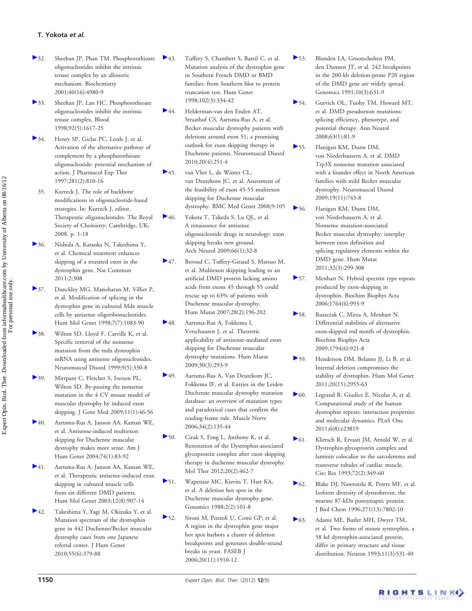- 32. Sheehan JP, Phan TM. Phosphorothioate oligonucleotides inhibit the intrinsic tenase complex by an allosteric mechanism. Biochemistry 2001;40(16):4980-9
- 33. Sheehan JP, Lan HC. Phosphorothioate oligonucleotides inhibit the intrinsic tenase complex. Blood 1998;92(5):1617-25
- 34. Henry SP, Giclas PC, Leeds J, et al. Activation of the alternative pathway of complement by a phosphorothioate oligonucleotide: potential mechanism of action. J Pharmacol Exp Ther 1997;281(2):810-16
- 35. Kurreck J. The role of backbone modifications in oligonucleotide-based strategies. In: Kurreck J, editor. Therapeutic oligonucleotides. The Royal Society of Chemistry; Cambridge, UK; 2008. p. 1-18
- 36. Nishida A, Kataoka N, Takeshima Y, et al. Chemical treatment enhances skipping of a mutated exon in the dystrophin gene. Nat Commun 2011;2:308
- 37. Dunckley MG, Manoharan M, Villiet P, et al. Modification of splicing in the dystrophin gene in cultured Mdx muscle cells by antisense oligoribonucleotides. Hum Mol Genet 1998;7(7):1083-90
- 38. Wilton SD, Lloyd F, Carville K, et al. Specific removal of the nonsense mutation from the mdx dystrophin mRNA using antisense oligonucleotides. Neuromuscul Disord 1999;9(5):330-8
- 39. Mitrpant C, Fletcher S, Iversen PL, Wilton SD. By-passing the nonsense mutation in the 4 CV mouse model of muscular dystrophy by induced exon skipping. J Gene Med 2009;11(1):46-56
- 40. Aartsma-Rus A, Janson AA, Kaman WE, et al. Antisense-induced multiexon skipping for Duchenne muscular dystrophy makes more sense. Am J Hum Genet 2004;74(1):83-92
- 41. Aartsma-Rus A, Janson AA, Kaman WE, et al. Therapeutic antisense-induced exon skipping in cultured muscle cells from six different DMD patients. Hum Mol Genet 2003;12(8):907-14
- 42. Takeshima Y, Yagi M, Okizuka Y, et al. Mutation spectrum of the dystrophin gene in 442 Duchenne/Becker muscular dystrophy cases from one Japanese referral center. J Hum Genet 2010;55(6):379-88
- 143. Tuffery S, Chambert S, Bareil C, et al. Mutation analysis of the dystrophin gene in Southern French DMD or BMD families: from Southern blot to protein truncation test. Hum Genet 1998;102(3):334-42
- 44. Helderman-van den Enden AT, Straathof CS, Aartsma-Rus A, et al. Becker muscular dystrophy patients with deletions around exon 51; a promising outlook for exon skipping therapy in Duchenne patients. Neuromuscul Disord 2010;20(4):251-4
- 45. van Vliet L, de Winter CL, van Deutekom JC, et al. Assessment of the feasibility of exon 45-55 multiexon skipping for Duchenne muscular dystrophy. BMC Med Genet 2008;9:105
- 46. Yokota T, Takeda S, Lu QL, et al. A renaissance for antisense oligonucleotide drugs in neurology: exon skipping breaks new ground. Arch Neurol 2009;66(1):32-8
- 47. Beroud C, Tuffery-Giraud S, Matsuo M, et al. Multiexon skipping leading to an artificial DMD protein lacking amino acids from exons 45 through 55 could rescue up to 63% of patients with Duchenne muscular dystrophy. Hum Mutat 2007;28(2):196-202
- 48. Aartsma-Rus A, Fokkema I, Verschuuren J, et al. Theoretic applicability of antisense-mediated exon skipping for Duchenne muscular dystrophy mutations. Hum Mutat 2009;30(3):293-9
- 49. Aartsma-Rus A, Van Deutekom JC, Fokkema IF, et al. Entries in the Leiden Duchenne muscular dystrophy mutation database: an overview of mutation types and paradoxical cases that confirm the reading-frame rule. Muscle Nerve 2006;34(2):135-44
- 50. Cirak S, Feng L, Anthony K, et al. Restoration of the Dystrophin-associated glycoprotein complex after exon skipping therapy in duchenne muscular dystrophy. Mol Ther 2012;20(2):462-7
- 51. Wapenaar MC, Kievits T, Hart KA, et al. A deletion hot spot in the Duchenne muscular dystrophy gene. Genomics 1988;2(2):101-8
- 52. Sironi M, Pozzoli U, Comi GP, et al. A region in the dystrophin gene major hot spot harbors a cluster of deletion breakpoints and generates double-strand breaks in yeast. FASEB J 2006;20(11):1910-12
- 53. Blonden LA, Grootscholten PM, den Dunnen JT, et al. 242 breakpoints in the 200-kb deletion-prone P20 region of the DMD gene are widely spread. Genomics 1991;10(3):631-9
- 54. Gurvich OL, Tuohy TM, Howard MT, et al. DMD pseudoexon mutations: splicing efficiency, phenotype, and potential therapy. Ann Neurol 2008;63(1):81-9
- 55. Flanigan KM, Dunn DM, von Niederhausern A, et al. DMD Trp3X nonsense mutation associated with a founder effect in North American families with mild Becker muscular dystrophy. Neuromuscul Disord 2009;19(11):743-8
- 56. Flanigan KM, Dunn DM, von Niederhausern A, et al. Nonsense mutation-associated Becker muscular dystrophy: interplay between exon definition and splicing regulatory elements within the DMD gene. Hum Mutat 2011;32(3):299-308
- 57. Menhart N. Hybrid spectrin type repeats produced by exon-skipping in dystrophin. Biochim Biophys Acta 2006;1764(6):993-9
- 58. Ruszczak C, Mirza A, Menhart N. Differential stabilities of alternative exon-skipped rod motifs of dystrophin. Biochim Biophys Acta 2009;1794(6):921-8
- 59. Henderson DM, Belanto JJ, Li B, et al. Internal deletion compromises the stability of dystrophin. Hum Mol Genet 2011;20(15):2955-63
- 60. Legrand B, Giudice E, Nicolas A, et al. Computational study of the human dystrophin repeats: interaction properties and molecular dynamics. PLoS One 2011;6(8):e23819
- 61. Klietsch R, Ervasti JM, Arnold W, et al. Dystrophin-glycoprotein complex and laminin colocalize to the sarcolemma and transverse tubules of cardiac muscle. Circ Res 1993;72(2):349-60
- 62. Blake DJ, Nawrotzki R, Peters MF, et al. Isoform diversity of dystrobrevin, the murine 87-kDa postsynaptic protein. J Biol Chem 1996;271(13):7802-10
- 63. Adams ME, Butler MH, Dwyer TM, et al. Two forms of mouse syntrophin, a 58 kd dystrophin-associated protein, differ in primary structure and tissue distribution. Neuron 1993;11(3):531-40

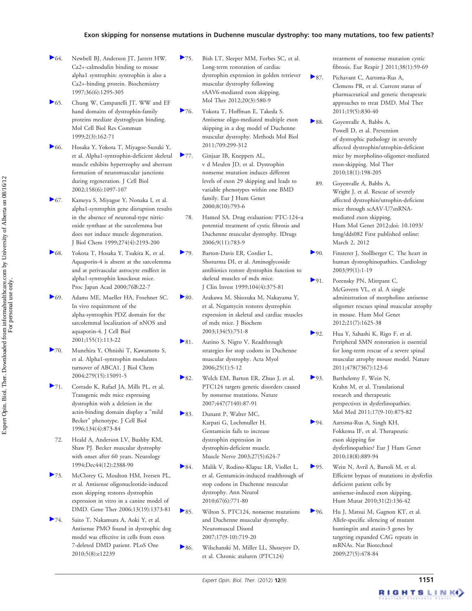#### Exon skipping for nonsense mutations in Duchenne muscular dystrophy: too many mutations, too few patients?

- 64. Newbell BJ, Anderson JT, Jarrett HW. Ca2+-calmodulin binding to mouse alpha1 syntrophin: syntrophin is also a Ca2+-binding protein. Biochemistry 1997;36(6):1295-305
- 65. Chung W, Campanelli JT. WW and EF hand domains of dystrophin-family proteins mediate dystroglycan binding. Mol Cell Biol Res Commun 1999;2(3):162-71
- 66. Hosaka Y, Yokota T, Miyagoe-Suzuki Y, et al. Alpha1-syntrophin-deficient skeletal muscle exhibits hypertrophy and aberrant formation of neuromuscular junctions during regeneration. J Cell Biol 2002;158(6):1097-107
- 67. Kameya S, Miyagoe Y, Nonaka I, et al. alpha1-syntrophin gene disruption results in the absence of neuronal-type nitricoxide synthase at the sarcolemma but does not induce muscle degeneration. J Biol Chem 1999;274(4):2193-200
- 68. Yokota T, Hosaka Y, Tsukita K, et al. Aquaporin-4 is absent at the sarcolemma and at perivascular astrocyte endfeet in alpha1-syntrophin knockout mice. Proc Japan Acad 2000;76B:22-7
- 69. Adams ME, Mueller HA, Froehner SC. In vivo requirement of the alpha-syntrophin PDZ domain for the sarcolemmal localization of nNOS and aquaporin-4. J Cell Biol 2001;155(1):113-22
- 70. Munehira Y, Ohnishi T, Kawamoto S, et al. Alpha1-syntrophin modulates turnover of ABCA1. J Biol Chem 2004;279(15):15091-5
- 71. Corrado K, Rafael JA, Mills PL, et al. Transgenic mdx mice expressing dystrophin with a deletion in the actin-binding domain display a "mild Becker" phenotype. J Cell Biol 1996;134(4):873-84
- 72. Heald A, Anderson LV, Bushby KM, Shaw PJ. Becker muscular dystrophy with onset after 60 years. Neurology 1994;Dec44(12):2388-90
- 73. McClorey G, Moulton HM, Iversen PL, et al. Antisense oligonucleotide-induced exon skipping restores dystrophin expression in vitro in a canine model of DMD. Gene Ther 2006;13(19):1373-81
- 74. Saito T, Nakamura A, Aoki Y, et al. Antisense PMO found in dystrophic dog model was effective in cells from exon 7-deleted DMD patient. PLoS One 2010;5(8):e12239
- 75. Bish LT, Sleeper MM, Forbes SC, et al. Long-term restoration of cardiac dystrophin expression in golden retriever muscular dystrophy following rAAV6-mediated exon skipping. Mol Ther 2012;20(3):580-9
- 76. Yokota T, Hoffman E, Takeda S. Antisense oligo-mediated multiple exon skipping in a dog model of Duchenne muscular dystrophy. Methods Mol Biol 2011;709:299-312
- 77. Ginjaar IB, Kneppers AL, v d Meulen JD, et al. Dystrophin nonsense mutation induces different levels of exon 29 skipping and leads to variable phenotypes within one BMD family. Eur J Hum Genet 2000;8(10):793-6
	- 78. Hamed SA. Drug evaluation: PTC-124-a potential treatment of cystic fibrosis and Duchenne muscular dystrophy. IDrugs 2006;9(11):783-9
- 79. Barton-Davis ER, Cordier L, Shoturma DI, et al. Aminoglycoside antibiotics restore dystrophin function to skeletal muscles of mdx mice. J Clin Invest 1999;104(4):375-81
- 80. Arakawa M, Shiozuka M, Nakayama Y, et al. Negamycin restores dystrophin expression in skeletal and cardiac muscles of mdx mice. J Biochem 2003;134(5):751-8
- 81. Aurino S, Nigro V. Readthrough strategies for stop codons in Duchenne muscular dystrophy. Acta Myol 2006;25(1):5-12
- 82. Welch EM, Barton ER, Zhuo J, et al. PTC124 targets genetic disorders caused by nonsense mutations. Nature 2007;447(7140):87-91
- 83. Dunant P, Walter MC, Karpati G, Lochmuller H. Gentamicin fails to increase dystrophin expression in dystrophin-deficient muscle. Muscle Nerve 2003;27(5):624-7
- 84. Malik V, Rodino-Klapac LR, Viollet L, et al. Gentamicin-induced readthrough of stop codons in Duchenne muscular dystrophy. Ann Neurol 2010;67(6):771-80
- 85. Wilton S. PTC124, nonsense mutations and Duchenne muscular dystrophy. Neuromuscul Disord 2007;17(9-10):719-20
- 86. Wilschanski M, Miller LL, Shoseyov D, et al. Chronic ataluren (PTC124)

treatment of nonsense mutation cystic fibrosis. Eur Respir J 2011;38(1):59-69

- 87. Pichavant C, Aartsma-Rus A, Clemens PR, et al. Current status of pharmaceutical and genetic therapeutic approaches to treat DMD. Mol Ther 2011;19(5):830-40
- 88. Goyenvalle A, Babbs A, Powell D, et al. Prevention of dystrophic pathology in severely affected dystrophin/utrophin-deficient mice by morpholino-oligomer-mediated exon-skipping. Mol Ther 2010;18(1):198-205
	- 89. Goyenvalle A, Babbs A, Wright J, et al. Rescue of severely affected dystrophin/utrophin-deficient mice through scAAV-U7snRNAmediated exon skipping. Hum Mol Genet 2012;doi: 10.1093/ hmg/dds082 First published online: March 2, 2012
- 90. Finsterer J, Stollberger C. The heart in human dystrophinopathies. Cardiology 2003;99(1):1-19
- 91. Porensky PN, Mitrpant C, McGovern VL, et al. A single administration of morpholino antisense oligomer rescues spinal muscular atrophy in mouse. Hum Mol Genet 2012;21(7):1625-38
- 92. Hua Y, Sahashi K, Rigo F, et al. Peripheral SMN restoration is essential for long-term rescue of a severe spinal muscular atrophy mouse model. Nature 2011;478(7367):123-6
- 93. Barthelemy F, Wein N, Krahn M, et al. Translational research and therapeutic perspectives in dysferlinopathies. Mol Med 2011;17(9-10):875-82
- 94. Aartsma-Rus A, Singh KH, Fokkema IF, et al. Therapeutic exon skipping for dysferlinopathies? Eur J Hum Genet 2010;18(8):889-94
- 95. Wein N, Avril A, Bartoli M, et al. Efficient bypass of mutations in dysferlin deficient patient cells by antisense-induced exon skipping. Hum Mutat 2010;31(2):136-42
- 96. Hu J, Matsui M, Gagnon KT, et al. Allele-specific silencing of mutant huntingtin and ataxin-3 genes by targeting expanded CAG repeats in mRNAs. Nat Biotechnol 2009;27(5):478-84